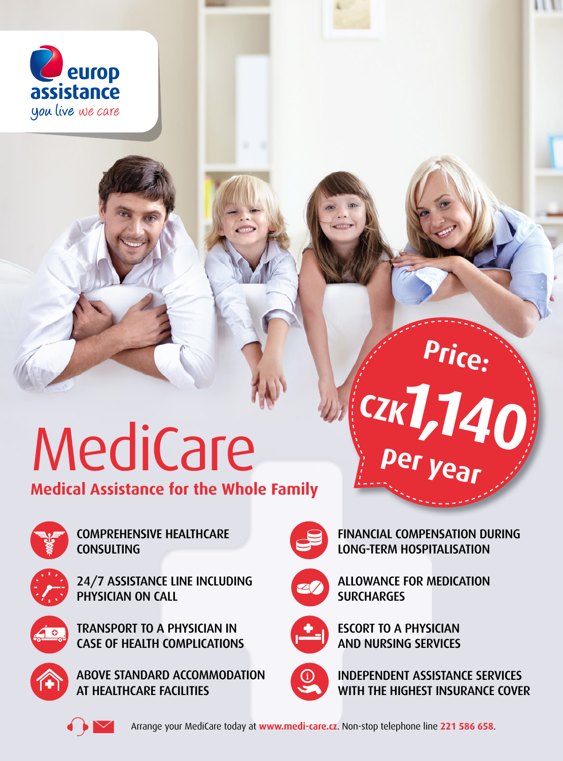

## MediCare

**Medical Assistance for the Whole Family**



COMPREHENSIVE HEALTHCARE **CONSULTING** 



24/7 ASSISTANCE LINE INCLUDING PHYSICIAN ON CALL



TRANSPORT TO A PHYSICIAN IN CASE OF HEALTH COMPLICATIONS



ABOVE STANDARD ACCOMMODATION AT HEALTHCARE FACILITIES



FINANCIAL COMPENSATION DURING LONG-TERM HOSPITALISATION

**per year**

**1,140 CZK**

**Price:**



ALLOWANCE FOR MEDICATION **SURCHARGES** 



ESCORT TO A PHYSICIAN AND NURSING SERVICES



INDEPENDENT ASSISTANCE SERVICES WITH THE HIGHEST INSURANCE COVER



Arrange your MediCare today at **www.medi-care.cz**. Non-stop telephone line **221 586 658**.